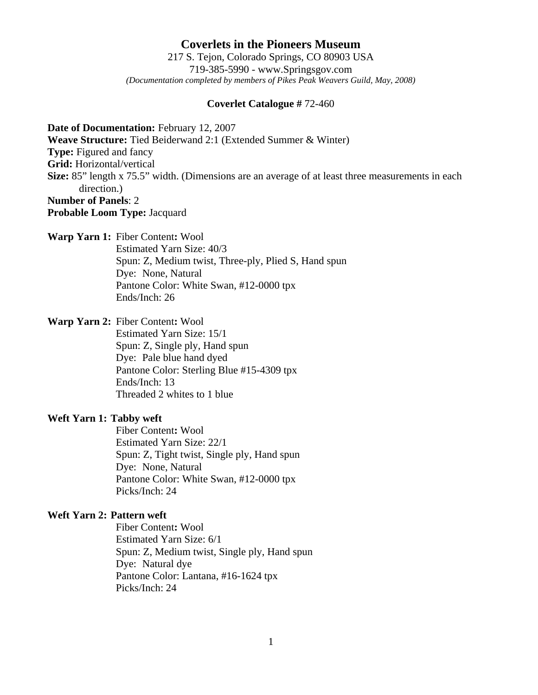**Coverlets in the Pioneers Museum** 217 S. Tejon, Colorado Springs, CO 80903 USA 719-385-5990 - www.Springsgov.com *(Documentation completed by members of Pikes Peak Weavers Guild, May, 2008)* 

#### **Coverlet Catalogue #** 72-460

**Date of Documentation:** February 12, 2007

**Weave Structure:** Tied Beiderwand 2:1 (Extended Summer & Winter)

**Type:** Figured and fancy

**Grid:** Horizontal/vertical

**Size:** 85" length x 75.5" width. (Dimensions are an average of at least three measurements in each direction.) **Number of Panels**: 2

**Probable Loom Type:** Jacquard

**Warp Yarn 1:** Fiber Content**:** Wool

 Estimated Yarn Size: 40/3 Spun: Z, Medium twist, Three-ply, Plied S, Hand spun Dye: None, Natural Pantone Color: White Swan, #12-0000 tpx Ends/Inch: 26

**Warp Yarn 2:** Fiber Content**:** Wool

 Estimated Yarn Size: 15/1 Spun: Z, Single ply, Hand spun Dye: Pale blue hand dyed Pantone Color: Sterling Blue #15-4309 tpx Ends/Inch: 13 Threaded 2 whites to 1 blue

#### **Weft Yarn 1: Tabby weft**

 Fiber Content**:** Wool Estimated Yarn Size: 22/1 Spun: Z, Tight twist, Single ply, Hand spun Dye: None, Natural Pantone Color: White Swan, #12-0000 tpx Picks/Inch: 24

#### **Weft Yarn 2: Pattern weft**

 Fiber Content**:** Wool Estimated Yarn Size: 6/1 Spun: Z, Medium twist, Single ply, Hand spun Dye: Natural dye Pantone Color: Lantana, #16-1624 tpx Picks/Inch: 24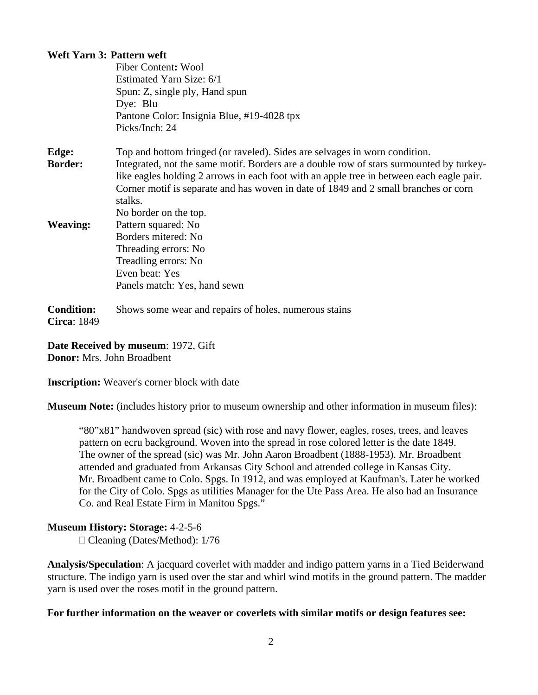# **Weft Yarn 3: Pattern weft**

|                                         | <b>Fiber Content: Wool</b>                                                               |
|-----------------------------------------|------------------------------------------------------------------------------------------|
|                                         | Estimated Yarn Size: 6/1                                                                 |
|                                         | Spun: Z, single ply, Hand spun                                                           |
|                                         | Dye: Blu                                                                                 |
|                                         | Pantone Color: Insignia Blue, #19-4028 tpx                                               |
|                                         | Picks/Inch: 24                                                                           |
| Edge:                                   | Top and bottom fringed (or raveled). Sides are selvages in worn condition.               |
| <b>Border:</b>                          | Integrated, not the same motif. Borders are a double row of stars surmounted by turkey-  |
|                                         | like eagles holding 2 arrows in each foot with an apple tree in between each eagle pair. |
|                                         | Corner motif is separate and has woven in date of 1849 and 2 small branches or corn      |
|                                         | stalks.                                                                                  |
|                                         | No border on the top.                                                                    |
| <b>Weaving:</b>                         | Pattern squared: No                                                                      |
|                                         | Borders mitered: No                                                                      |
|                                         | Threading errors: No                                                                     |
|                                         | Treadling errors: No                                                                     |
|                                         | Even beat: Yes                                                                           |
|                                         | Panels match: Yes, hand sewn                                                             |
| <b>Condition:</b><br><b>Circa: 1849</b> | Shows some wear and repairs of holes, numerous stains                                    |

**Date Received by museum**: 1972, Gift **Donor:** Mrs. John Broadbent

**Inscription:** Weaver's corner block with date

**Museum Note:** (includes history prior to museum ownership and other information in museum files):

 "80"x81" handwoven spread (sic) with rose and navy flower, eagles, roses, trees, and leaves pattern on ecru background. Woven into the spread in rose colored letter is the date 1849. The owner of the spread (sic) was Mr. John Aaron Broadbent (1888-1953). Mr. Broadbent attended and graduated from Arkansas City School and attended college in Kansas City. Mr. Broadbent came to Colo. Spgs. In 1912, and was employed at Kaufman's. Later he worked for the City of Colo. Spgs as utilities Manager for the Ute Pass Area. He also had an Insurance Co. and Real Estate Firm in Manitou Spgs."

# **Museum History: Storage:** 4-2-5-6

□ Cleaning (Dates/Method): 1/76

**Analysis/Speculation**: A jacquard coverlet with madder and indigo pattern yarns in a Tied Beiderwand structure. The indigo yarn is used over the star and whirl wind motifs in the ground pattern. The madder yarn is used over the roses motif in the ground pattern.

# **For further information on the weaver or coverlets with similar motifs or design features see:**